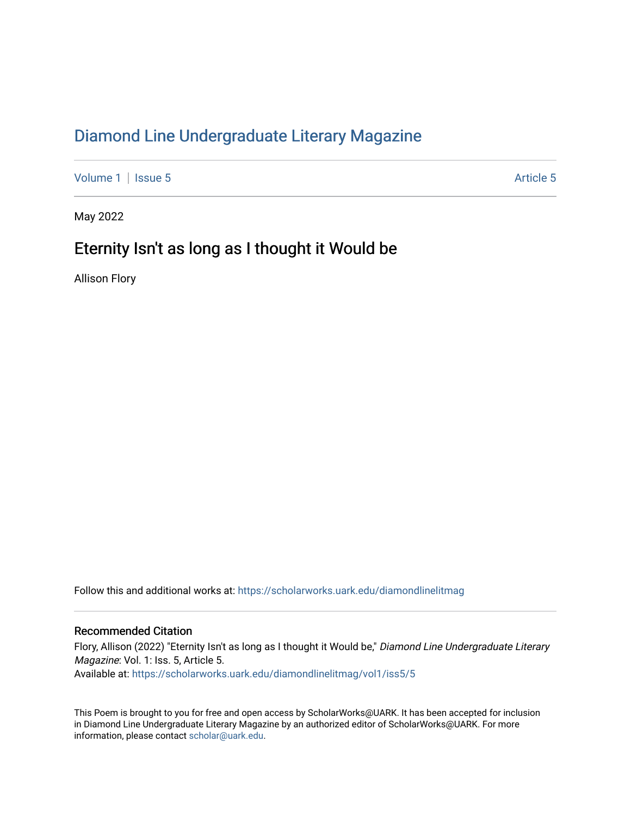## [Diamond Line Undergraduate Literary Magazine](https://scholarworks.uark.edu/diamondlinelitmag)

[Volume 1](https://scholarworks.uark.edu/diamondlinelitmag/vol1) | [Issue 5](https://scholarworks.uark.edu/diamondlinelitmag/vol1/iss5) Article 5

May 2022

## Eternity Isn't as long as I thought it Would be

Allison Flory

Follow this and additional works at: [https://scholarworks.uark.edu/diamondlinelitmag](https://scholarworks.uark.edu/diamondlinelitmag?utm_source=scholarworks.uark.edu%2Fdiamondlinelitmag%2Fvol1%2Fiss5%2F5&utm_medium=PDF&utm_campaign=PDFCoverPages) 

## Recommended Citation

Flory, Allison (2022) "Eternity Isn't as long as I thought it Would be," Diamond Line Undergraduate Literary Magazine: Vol. 1: Iss. 5, Article 5. Available at: [https://scholarworks.uark.edu/diamondlinelitmag/vol1/iss5/5](https://scholarworks.uark.edu/diamondlinelitmag/vol1/iss5/5?utm_source=scholarworks.uark.edu%2Fdiamondlinelitmag%2Fvol1%2Fiss5%2F5&utm_medium=PDF&utm_campaign=PDFCoverPages)

This Poem is brought to you for free and open access by ScholarWorks@UARK. It has been accepted for inclusion in Diamond Line Undergraduate Literary Magazine by an authorized editor of ScholarWorks@UARK. For more information, please contact [scholar@uark.edu.](mailto:scholar@uark.edu)